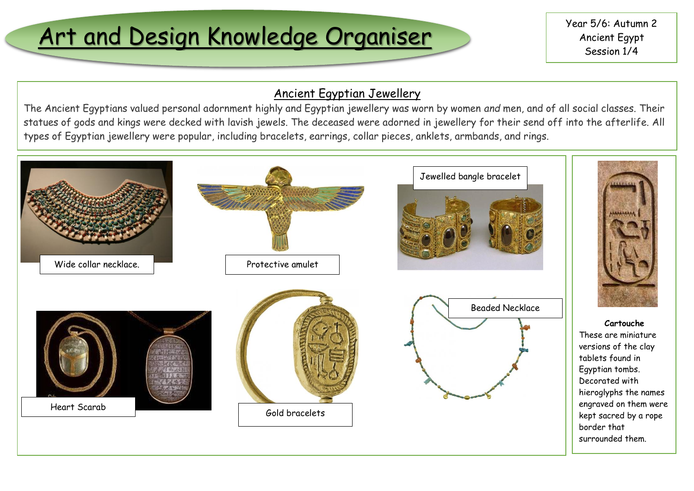# Art and Design Knowledge Organiser Wear 5/6: Autumn 2

Ancient Egypt Session 1/4

#### Ancient Egyptian Jewellery

The Ancient Egyptians valued personal adornment highly and Egyptian jewellery was worn by women *and* men, and of all social classes. Their statues of gods and kings were decked with lavish jewels. The deceased were adorned in jewellery for their send off into the afterlife. All types of Egyptian jewellery were popular, including bracelets, earrings, collar pieces, anklets, armbands, and rings.

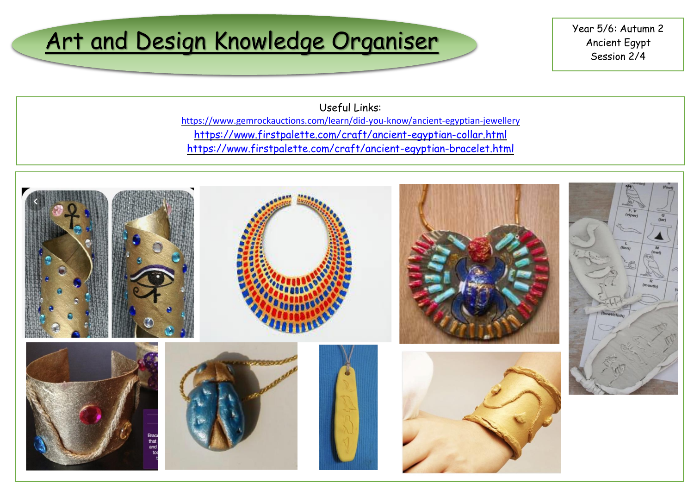## Art and Design Knowledge Organiser Vear 5/6: Autumn 2

Ancient Egypt Session 2/4

Useful Links: <https://www.gemrockauctions.com/learn/did-you-know/ancient-egyptian-jewellery> <https://www.firstpalette.com/craft/ancient-egyptian-collar.html> <https://www.firstpalette.com/craft/ancient-egyptian-bracelet.html>